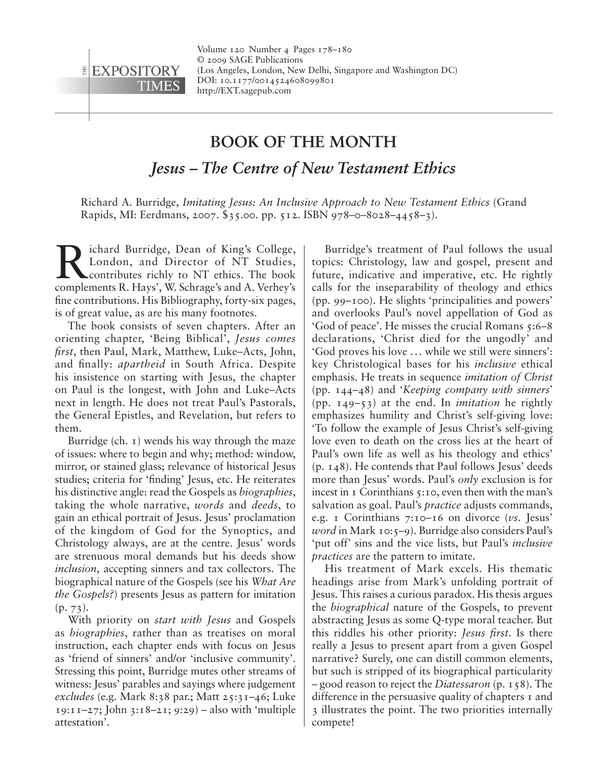$\circ$  2009 SAGE Publications Volume 120 Number 4 Pages 178–180 (Los Angeles, London, New Delhi, Singapore and Washington DC) DOI: 10.1177/0014524608099801 http://EXT.sagepub.com

## **Book of the Month** *Jesus – The Centre of New Testament Ethics*

Richard A. Burridge, *Imitating Jesus: An Inclusive Approach to New Testament Ethics* (Grand Rapids, MI: Eerdmans, 2007. \$35.00. pp. 512. ISBN 978–0–8028–4458–3).

Richard Burridge, Dean of King's College,<br>
London, and Director of NT Studies,<br>
contributes richly to NT ethics. The book<br>
complements B Hour', W. Schneg's and A Verber's London, and Director of NT Studies, complements R. Hays', W. Schrage's and A. Verhey's fine contributions. His Bibliography, forty-six pages, is of great value, as are his many footnotes.

**TIMES** 

The book consists of seven chapters. After an orienting chapter, 'Being Biblical', *Jesus comes first*, then Paul, Mark, Matthew, Luke–Acts, John, and finally: *apartheid* in South Africa. Despite his insistence on starting with Jesus, the chapter on Paul is the longest, with John and Luke–Acts next in length. He does not treat Paul's Pastorals, the General Epistles, and Revelation, but refers to them.

Burridge  $(ch, t)$  wends his way through the maze of issues: where to begin and why; method: window, mirror, or stained glass; relevance of historical Jesus studies; criteria for 'finding' Jesus, etc. He reiterates his distinctive angle: read the Gospels as *biographies*, taking the whole narrative, *words* and *deeds*, to gain an ethical portrait of Jesus. Jesus' proclamation of the kingdom of God for the Synoptics, and Christology always, are at the centre. Jesus' words are strenuous moral demands but his deeds show *inclusion*, accepting sinners and tax collectors. The biographical nature of the Gospels (see his *What Are the Gospels?*) presents Jesus as pattern for imitation  $(p. 73)$ .

With priority on *start with Jesus* and Gospels as *biographies*, rather than as treatises on moral instruction, each chapter ends with focus on Jesus as 'friend of sinners' and/or 'inclusive community'. Stressing this point, Burridge mutes other streams of witness: Jesus' parables and sayings where judgement *excludes* (e.g. Mark 8:38 par.; Matt 25:31–46; Luke 19:11–27; John 3:18–21; 9:29) – also with 'multiple attestation'.

Burridge's treatment of Paul follows the usual topics: Christology, law and gospel, present and future, indicative and imperative, etc. He rightly calls for the inseparability of theology and ethics (pp. 99–100). He slights 'principalities and powers' and overlooks Paul's novel appellation of God as 'God of peace'. He misses the crucial Romans 5:6–8 declarations, 'Christ died for the ungodly' and 'God proves his love ... while we still were sinners': key Christological bases for his *inclusive* ethical emphasis. He treats in sequence *imitation of Christ*  (pp. 144–48) and '*Keeping company with sinners*' (pp. 149–53) at the end. In *imitation* he rightly emphasizes humility and Christ's self-giving love: 'To follow the example of Jesus Christ's self-giving love even to death on the cross lies at the heart of Paul's own life as well as his theology and ethics' (p. 148). He contends that Paul follows Jesus' deeds more than Jesus' words. Paul's *only* exclusion is for incest in 1 Corinthians 5:10, even then with the man's salvation as goal. Paul's *practice* adjusts commands, e.g. 1 Corinthians 7:10–16 on divorce (*vs.* Jesus' *word* in Mark 10:5–9). Burridge also considers Paul's 'put off' sins and the vice lists, but Paul's *inclusive practices* are the pattern to imitate.

His treatment of Mark excels. His thematic headings arise from Mark's unfolding portrait of Jesus. This raises a curious paradox. His thesis argues the *biographical* nature of the Gospels, to prevent abstracting Jesus as some Q-type moral teacher. But this riddles his other priority: *Jesus first*. Is there really a Jesus to present apart from a given Gospel narrative? Surely, one can distill common elements, but such is stripped of its biographical particularity – good reason to reject the *Diatessaron* (p. 158). The difference in the persuasive quality of chapters 1 and 3 illustrates the point. The two priorities internally compete!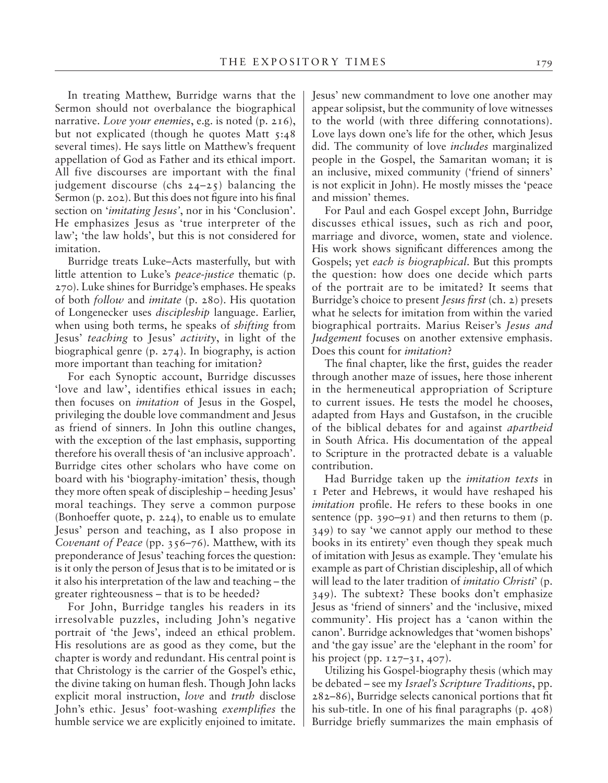In treating Matthew, Burridge warns that the Sermon should not overbalance the biographical narrative. *Love your enemies*, e.g. is noted (p. 216), but not explicated (though he quotes Matt 5:48 several times). He says little on Matthew's frequent appellation of God as Father and its ethical import. All five discourses are important with the final judgement discourse (chs 24–25) balancing the Sermon (p. 202). But this does not figure into his final section on '*imitating Jesus'*, nor in his 'Conclusion'. He emphasizes Jesus as 'true interpreter of the law'; 'the law holds', but this is not considered for imitation.

Burridge treats Luke–Acts masterfully, but with little attention to Luke's *peace-justice* thematic (p. 270). Luke shines for Burridge's emphases. He speaks of both *follow* and *imitate* (p. 280). His quotation of Longenecker uses *discipleship* language. Earlier, when using both terms, he speaks of *shifting* from Jesus' *teaching* to Jesus' *activity*, in light of the biographical genre (p. 274). In biography, is action more important than teaching for imitation?

For each Synoptic account, Burridge discusses 'love and law', identifies ethical issues in each; then focuses on *imitation* of Jesus in the Gospel, privileging the double love commandment and Jesus as friend of sinners. In John this outline changes, with the exception of the last emphasis, supporting therefore his overall thesis of 'an inclusive approach'. Burridge cites other scholars who have come on board with his 'biography-imitation' thesis, though they more often speak of discipleship – heeding Jesus' moral teachings. They serve a common purpose (Bonhoeffer quote, p. 224), to enable us to emulate Jesus' person and teaching, as I also propose in *Covenant of Peace* (pp. 356–76). Matthew, with its preponderance of Jesus' teaching forces the question: is it only the person of Jesus that is to be imitated or is it also his interpretation of the law and teaching – the greater righteousness – that is to be heeded?

For John, Burridge tangles his readers in its irresolvable puzzles, including John's negative portrait of 'the Jews', indeed an ethical problem. His resolutions are as good as they come, but the chapter is wordy and redundant. His central point is that Christology is the carrier of the Gospel's ethic, the divine taking on human flesh. Though John lacks explicit moral instruction, *love* and *truth* disclose John's ethic. Jesus' foot-washing *exemplifies* the humble service we are explicitly enjoined to imitate.

Jesus' new commandment to love one another may appear solipsist, but the community of love witnesses to the world (with three differing connotations). Love lays down one's life for the other, which Jesus did. The community of love *includes* marginalized people in the Gospel, the Samaritan woman; it is an inclusive, mixed community ('friend of sinners' is not explicit in John). He mostly misses the 'peace and mission' themes.

For Paul and each Gospel except John, Burridge discusses ethical issues, such as rich and poor, marriage and divorce, women, state and violence. His work shows significant differences among the Gospels; yet *each is biographical*. But this prompts the question: how does one decide which parts of the portrait are to be imitated? It seems that Burridge's choice to present *Jesus first* (ch. 2) presets what he selects for imitation from within the varied biographical portraits. Marius Reiser's *Jesus and Judgement* focuses on another extensive emphasis. Does this count for *imitation*?

The final chapter, like the first, guides the reader through another maze of issues, here those inherent in the hermeneutical appropriation of Scripture to current issues. He tests the model he chooses, adapted from Hays and Gustafson, in the crucible of the biblical debates for and against *apartheid* in South Africa. His documentation of the appeal to Scripture in the protracted debate is a valuable contribution.

Had Burridge taken up the *imitation texts* in 1 Peter and Hebrews, it would have reshaped his *imitation* profile. He refers to these books in one sentence (pp. 390–91) and then returns to them (p. 349) to say 'we cannot apply our method to these books in its entirety' even though they speak much of imitation with Jesus as example. They 'emulate his example as part of Christian discipleship, all of which will lead to the later tradition of *imitatio Christi*' (p. 349). The subtext? These books don't emphasize Jesus as 'friend of sinners' and the 'inclusive, mixed community'. His project has a 'canon within the canon'. Burridge acknowledges that 'women bishops' and 'the gay issue' are the 'elephant in the room' for his project (pp.  $127-31$ ,  $407$ ).

Utilizing his Gospel-biography thesis (which may be debated – see my *Israel's Scripture Traditions*, pp. 282–86), Burridge selects canonical portions that fit his sub-title. In one of his final paragraphs (p. 408) Burridge briefly summarizes the main emphasis of